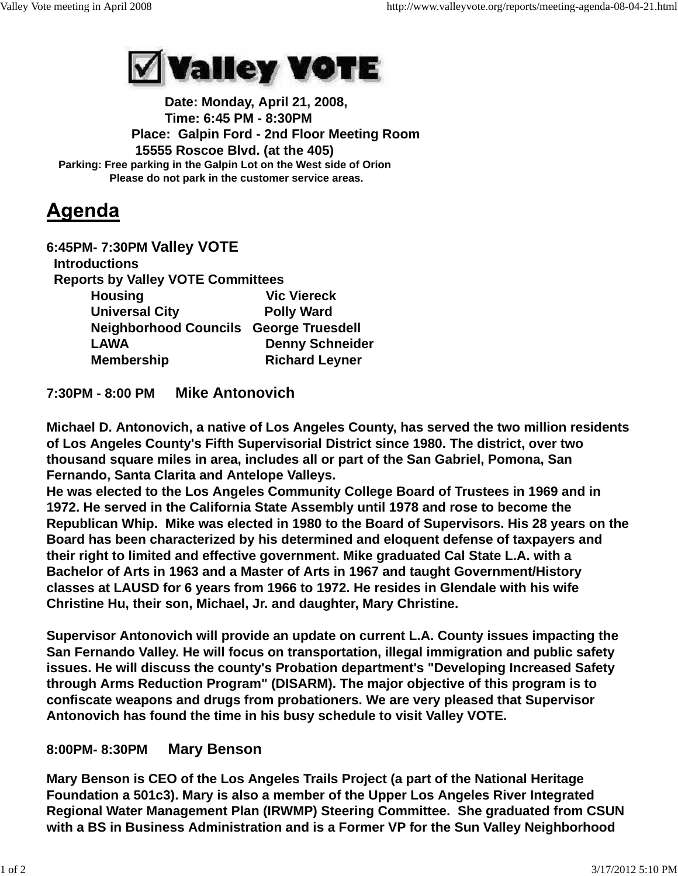

 **Date: Monday, April 21, 2008, Time: 6:45 PM - 8:30PM Place: Galpin Ford - 2nd Floor Meeting Room 15555 Roscoe Blvd. (at the 405) Parking: Free parking in the Galpin Lot on the West side of Orion Please do not park in the customer service areas.**

## Agenda

| 6:45PM-7:30PM Valley VOTE                     |                        |
|-----------------------------------------------|------------------------|
| <b>Introductions</b>                          |                        |
| <b>Reports by Valley VOTE Committees</b>      |                        |
| <b>Housing</b>                                | <b>Vic Viereck</b>     |
| <b>Universal City</b>                         | <b>Polly Ward</b>      |
| <b>Neighborhood Councils George Truesdell</b> |                        |
| <b>LAWA</b>                                   | <b>Denny Schneider</b> |
| <b>Membership</b>                             | <b>Richard Leyner</b>  |
|                                               |                        |

## **7:30PM - 8:00 PM Mike Antonovich**

**Michael D. Antonovich, a native of Los Angeles County, has served the two million residents of Los Angeles County's Fifth Supervisorial District since 1980. The district, over two thousand square miles in area, includes all or part of the San Gabriel, Pomona, San Fernando, Santa Clarita and Antelope Valleys.**

**He was elected to the Los Angeles Community College Board of Trustees in 1969 and in 1972. He served in the California State Assembly until 1978 and rose to become the Republican Whip. Mike was elected in 1980 to the Board of Supervisors. His 28 years on the Board has been characterized by his determined and eloquent defense of taxpayers and their right to limited and effective government. Mike graduated Cal State L.A. with a Bachelor of Arts in 1963 and a Master of Arts in 1967 and taught Government/History classes at LAUSD for 6 years from 1966 to 1972. He resides in Glendale with his wife Christine Hu, their son, Michael, Jr. and daughter, Mary Christine.**

**Supervisor Antonovich will provide an update on current L.A. County issues impacting the San Fernando Valley. He will focus on transportation, illegal immigration and public safety issues. He will discuss the county's Probation department's "Developing Increased Safety through Arms Reduction Program" (DISARM). The major objective of this program is to confiscate weapons and drugs from probationers. We are very pleased that Supervisor Antonovich has found the time in his busy schedule to visit Valley VOTE.**

## **8:00PM- 8:30PM Mary Benson**

**Mary Benson is CEO of the Los Angeles Trails Project (a part of the National Heritage Foundation a 501c3). Mary is also a member of the Upper Los Angeles River Integrated Regional Water Management Plan (IRWMP) Steering Committee. She graduated from CSUN with a BS in Business Administration and is a Former VP for the Sun Valley Neighborhood**